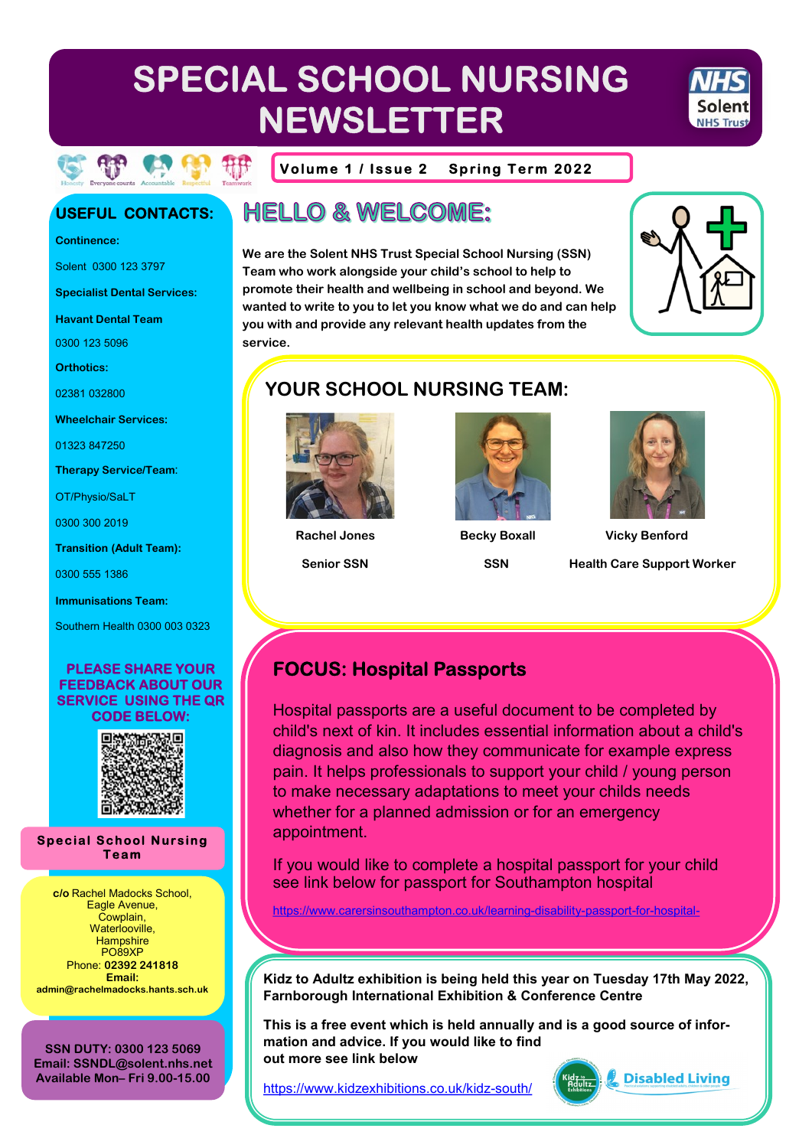# SPECIAL SCHOOL NURSING **NEWSLETTER**



Volume 1 / Issue 2 **Spring Term 2022** 

### **USEFUL CONTACTS:**

**Continence:** 

Solent 0300 123 3797

**Specialist Dental Services:** 

**Havant Dental Team** 

0300 123 5096

**Orthotics:** 

02381 032800

**Wheelchair Services:** 

01323 847250

**Therapy Service/Team:** 

OT/Physio/SaLT

0300 300 2019

**Transition (Adult Team):** 

0300 555 1386

**Immunisations Team:** 

Southern Health 0300 003 0323

#### **PLEASE SHARE YOUR FEEDBACK ABOUT OUR SERVICE USING THE QR CODE BELOW:**



**Special School Nursing** Team

c/o Rachel Madocks School, Eagle Avenue, Cowplain, Waterlooville, Hampshire **PO89XP** Phone: 02392 241818 Fmail<sup>-</sup> admin@rachelmadocks.hants.sch.uk

**SSN DUTY: 0300 123 5069** Email: SSNDL@solent.nhs.net Available Mon-Fri 9.00-15.00

# **HELLO & WELCOME:**

We are the Solent NHS Trust Special School Nursing (SSN) Team who work alongside your child's school to help to promote their health and wellbeing in school and beyond. We wanted to write to you to let you know what we do and can help you with and provide any relevant health updates from the **service** 



## **YOUR SCHOOL NURSING TEAM:**



**Senior SSN** 



**Becky Boxall** 

**SSN** 



**Vicky Benford Health Care Support Worker** 

### **FOCUS: Hospital Passports**

Hospital passports are a useful document to be completed by child's next of kin. It includes essential information about a child's diagnosis and also how they communicate for example express pain. It helps professionals to support your child / young person to make necessary adaptations to meet your childs needs whether for a planned admission or for an emergency appointment.

If you would like to complete a hospital passport for your child see link below for passport for Southampton hospital

https://www.carersinsouthampton.co.uk/learning-disability-passport-for-hospital-

Kidz to Adultz exhibition is being held this year on Tuesday 17th May 2022, **Farnborough International Exhibition & Conference Centre** 

This is a free event which is held annually and is a good source of information and advice. If you would like to find out more see link below

https://www.kidzexhibitions.co.uk/kidz-south/



Disabled Living